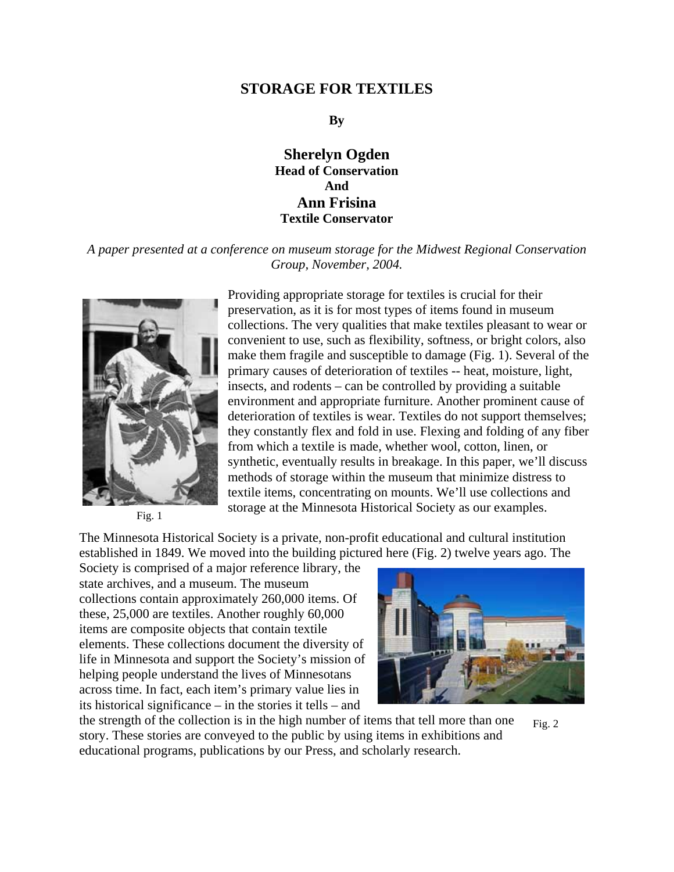## **STORAGE FOR TEXTILES**

### **By**

# **Sherelyn Ogden Head of Conservation And Ann Frisina Textile Conservator**

### *A paper presented at a conference on museum storage for the Midwest Regional Conservation Group, November, 2004.*



Providing appropriate storage for textiles is crucial for their preservation, as it is for most types of items found in museum collections. The very qualities that make textiles pleasant to wear or convenient to use, such as flexibility, softness, or bright colors, also make them fragile and susceptible to damage (Fig. 1). Several of the primary causes of deterioration of textiles -- heat, moisture, light, insects, and rodents – can be controlled by providing a suitable environment and appropriate furniture. Another prominent cause of deterioration of textiles is wear. Textiles do not support themselves; they constantly flex and fold in use. Flexing and folding of any fiber from which a textile is made, whether wool, cotton, linen, or synthetic, eventually results in breakage. In this paper, we'll discuss methods of storage within the museum that minimize distress to textile items, concentrating on mounts. We'll use collections and storage at the Minnesota Historical Society as our examples.

Fig. 1

The Minnesota Historical Society is a private, non-profit educational and cultural institution established in 1849. We moved into the building pictured here (Fig. 2) twelve years ago. The

Society is comprised of a major reference library, the state archives, and a museum. The museum collections contain approximately 260,000 items. Of these, 25,000 are textiles. Another roughly 60,000 items are composite objects that contain textile elements. These collections document the diversity of life in Minnesota and support the Society's mission of helping people understand the lives of Minnesotans across time. In fact, each item's primary value lies in its historical significance – in the stories it tells – and



the strength of the collection is in the high number of items that tell more than one story. These stories are conveyed to the public by using items in exhibitions and educational programs, publications by our Press, and scholarly research. Fig. 2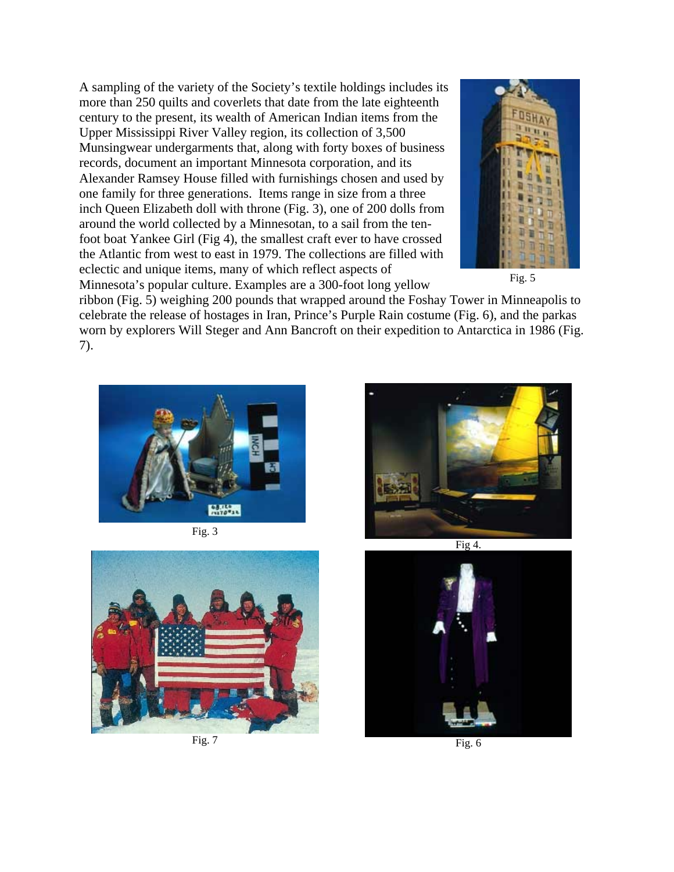A sampling of the variety of the Society's textile holdings includes its more than 250 quilts and coverlets that date from the late eighteenth century to the present, its wealth of American Indian items from the Upper Mississippi River Valley region, its collection of 3,500 Munsingwear undergarments that, along with forty boxes of business records, document an important Minnesota corporation, and its Alexander Ramsey House filled with furnishings chosen and used by one family for three generations. Items range in size from a three inch Queen Elizabeth doll with throne (Fig. 3), one of 200 dolls from around the world collected by a Minnesotan, to a sail from the tenfoot boat Yankee Girl (Fig 4), the smallest craft ever to have crossed the Atlantic from west to east in 1979. The collections are filled with eclectic and unique items, many of which reflect aspects of Minnesota's popular culture. Examples are a 300-foot long yellow



Fig. 5

ribbon (Fig. 5) weighing 200 pounds that wrapped around the Foshay Tower in Minneapolis to celebrate the release of hostages in Iran, Prince's Purple Rain costume (Fig. 6), and the parkas worn by explorers Will Steger and Ann Bancroft on their expedition to Antarctica in 1986 (Fig. 7).







Fig.  $7$  Fig. 6





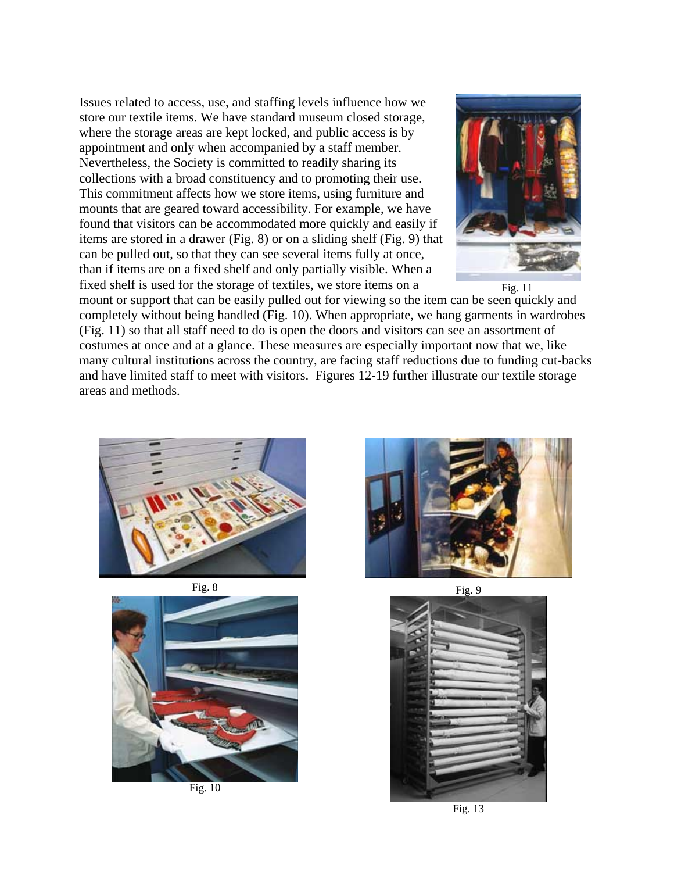Issues related to access, use, and staffing levels influence how we store our textile items. We have standard museum closed storage, where the storage areas are kept locked, and public access is by appointment and only when accompanied by a staff member. Nevertheless, the Society is committed to readily sharing its collections with a broad constituency and to promoting their use. This commitment affects how we store items, using furniture and mounts that are geared toward accessibility. For example, we have found that visitors can be accommodated more quickly and easily if items are stored in a drawer (Fig. 8) or on a sliding shelf (Fig. 9) that can be pulled out, so that they can see several items fully at once, than if items are on a fixed shelf and only partially visible. When a fixed shelf is used for the storage of textiles, we store items on a



Fig. 11

mount or support that can be easily pulled out for viewing so the item can be seen quickly and completely without being handled (Fig. 10). When appropriate, we hang garments in wardrobes (Fig. 11) so that all staff need to do is open the doors and visitors can see an assortment of costumes at once and at a glance. These measures are especially important now that we, like many cultural institutions across the country, are facing staff reductions due to funding cut-backs and have limited staff to meet with visitors. Figures 12-19 further illustrate our textile storage areas and methods.







Fig. 10





Fig. 13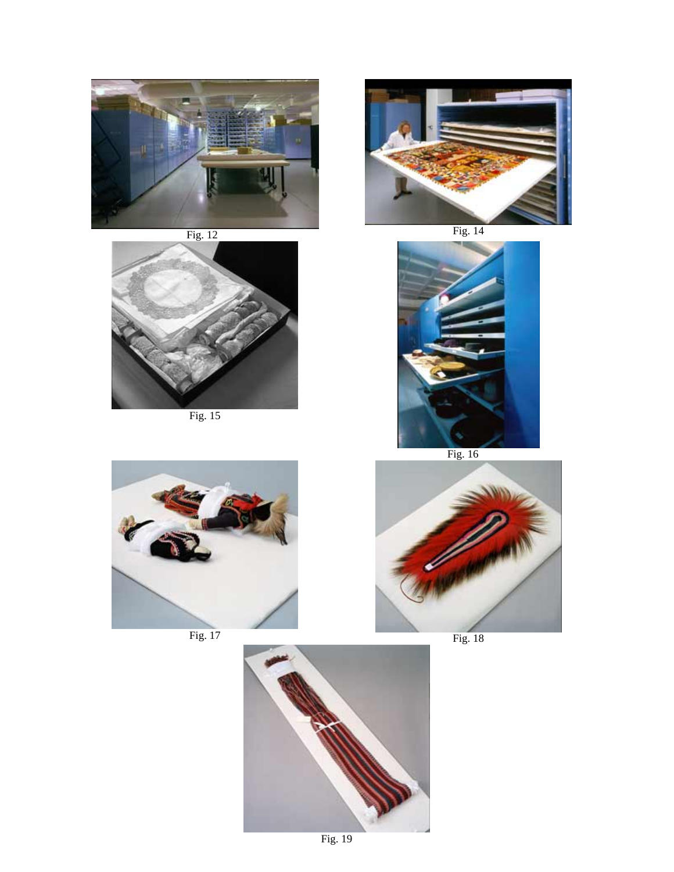



Fig. 15





Fig. 16





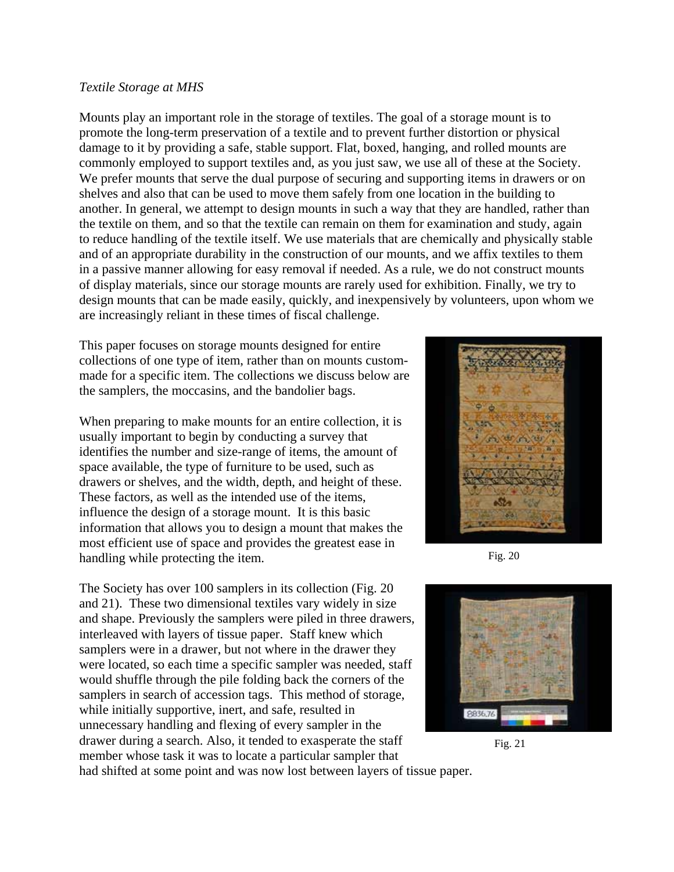#### *Textile Storage at MHS*

Mounts play an important role in the storage of textiles. The goal of a storage mount is to promote the long-term preservation of a textile and to prevent further distortion or physical damage to it by providing a safe, stable support. Flat, boxed, hanging, and rolled mounts are commonly employed to support textiles and, as you just saw, we use all of these at the Society. We prefer mounts that serve the dual purpose of securing and supporting items in drawers or on shelves and also that can be used to move them safely from one location in the building to another. In general, we attempt to design mounts in such a way that they are handled, rather than the textile on them, and so that the textile can remain on them for examination and study, again to reduce handling of the textile itself. We use materials that are chemically and physically stable and of an appropriate durability in the construction of our mounts, and we affix textiles to them in a passive manner allowing for easy removal if needed. As a rule, we do not construct mounts of display materials, since our storage mounts are rarely used for exhibition. Finally, we try to design mounts that can be made easily, quickly, and inexpensively by volunteers, upon whom we are increasingly reliant in these times of fiscal challenge.

This paper focuses on storage mounts designed for entire collections of one type of item, rather than on mounts custommade for a specific item. The collections we discuss below are the samplers, the moccasins, and the bandolier bags.

When preparing to make mounts for an entire collection, it is usually important to begin by conducting a survey that identifies the number and size-range of items, the amount of space available, the type of furniture to be used, such as drawers or shelves, and the width, depth, and height of these. These factors, as well as the intended use of the items, influence the design of a storage mount. It is this basic information that allows you to design a mount that makes the most efficient use of space and provides the greatest ease in handling while protecting the item.

The Society has over 100 samplers in its collection (Fig. 20 and 21). These two dimensional textiles vary widely in size and shape. Previously the samplers were piled in three drawers, interleaved with layers of tissue paper. Staff knew which samplers were in a drawer, but not where in the drawer they were located, so each time a specific sampler was needed, staff would shuffle through the pile folding back the corners of the samplers in search of accession tags. This method of storage, while initially supportive, inert, and safe, resulted in unnecessary handling and flexing of every sampler in the drawer during a search. Also, it tended to exasperate the staff member whose task it was to locate a particular sampler that



Fig. 20



Fig. 21

had shifted at some point and was now lost between layers of tissue paper.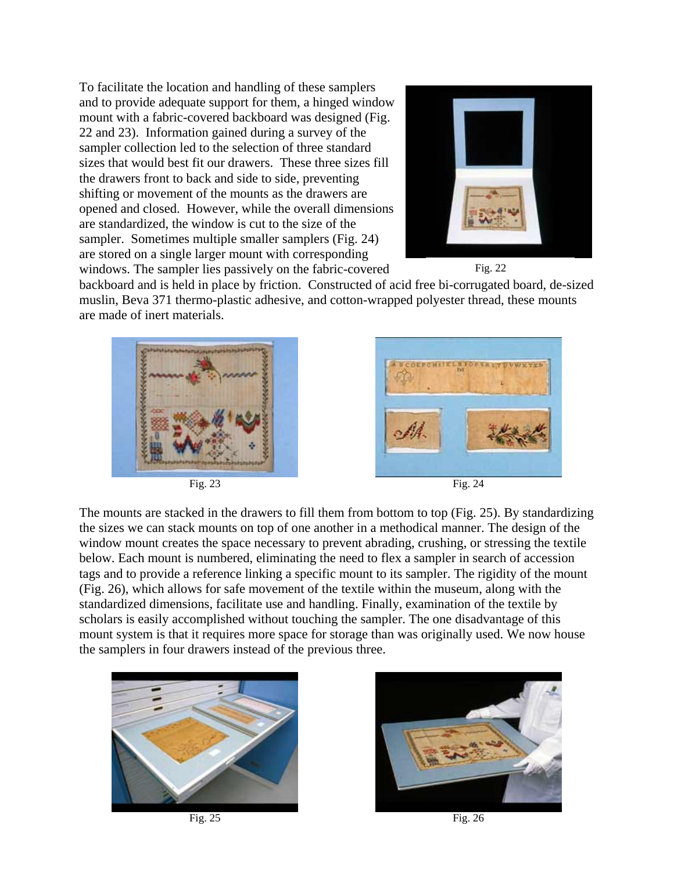To facilitate the location and handling of these samplers and to provide adequate support for them, a hinged window mount with a fabric-covered backboard was designed (Fig. 22 and 23). Information gained during a survey of the sampler collection led to the selection of three standard sizes that would best fit our drawers. These three sizes fill the drawers front to back and side to side, preventing shifting or movement of the mounts as the drawers are opened and closed. However, while the overall dimensions are standardized, the window is cut to the size of the sampler. Sometimes multiple smaller samplers (Fig. 24) are stored on a single larger mount with corresponding windows. The sampler lies passively on the fabric-covered





backboard and is held in place by friction. Constructed of acid free bi-corrugated board, de-sized muslin, Beva 371 thermo-plastic adhesive, and cotton-wrapped polyester thread, these mounts are made of inert materials.





Fig. 23 Fig. 24

The mounts are stacked in the drawers to fill them from bottom to top (Fig. 25). By standardizing the sizes we can stack mounts on top of one another in a methodical manner. The design of the window mount creates the space necessary to prevent abrading, crushing, or stressing the textile below. Each mount is numbered, eliminating the need to flex a sampler in search of accession tags and to provide a reference linking a specific mount to its sampler. The rigidity of the mount (Fig. 26), which allows for safe movement of the textile within the museum, along with the standardized dimensions, facilitate use and handling. Finally, examination of the textile by scholars is easily accomplished without touching the sampler. The one disadvantage of this mount system is that it requires more space for storage than was originally used. We now house the samplers in four drawers instead of the previous three.



Fig. 25 Fig. 26

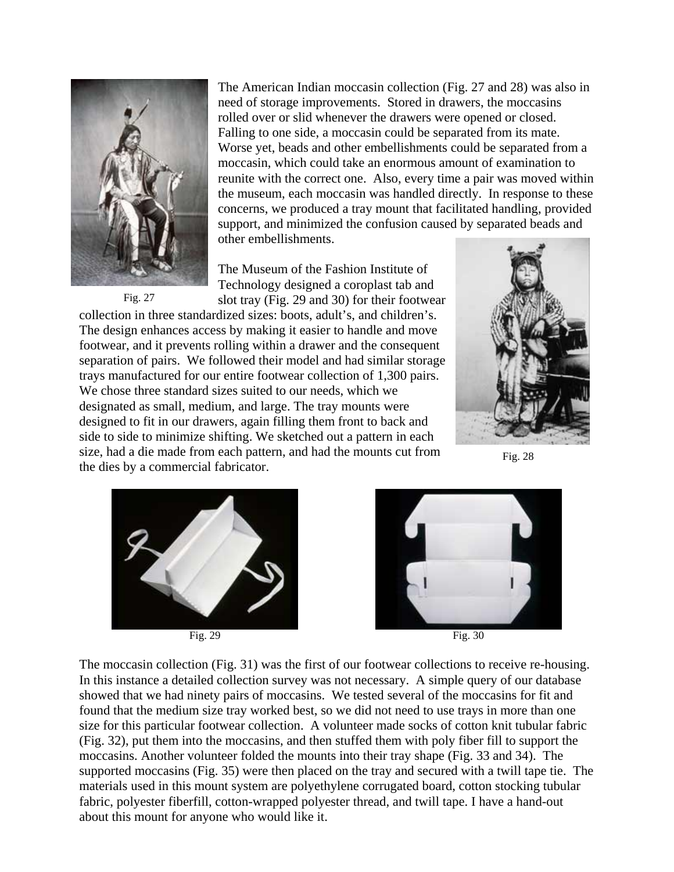

Fig. 27

The American Indian moccasin collection (Fig. 27 and 28) was also in need of storage improvements. Stored in drawers, the moccasins rolled over or slid whenever the drawers were opened or closed. Falling to one side, a moccasin could be separated from its mate. Worse yet, beads and other embellishments could be separated from a moccasin, which could take an enormous amount of examination to reunite with the correct one. Also, every time a pair was moved within the museum, each moccasin was handled directly. In response to these concerns, we produced a tray mount that facilitated handling, provided support, and minimized the confusion caused by separated beads and other embellishments.

The Museum of the Fashion Institute of Technology designed a coroplast tab and slot tray (Fig. 29 and 30) for their footwear

collection in three standardized sizes: boots, adult's, and children's. The design enhances access by making it easier to handle and move footwear, and it prevents rolling within a drawer and the consequent separation of pairs. We followed their model and had similar storage trays manufactured for our entire footwear collection of 1,300 pairs. We chose three standard sizes suited to our needs, which we designated as small, medium, and large. The tray mounts were designed to fit in our drawers, again filling them front to back and side to side to minimize shifting. We sketched out a pattern in each size, had a die made from each pattern, and had the mounts cut from the dies by a commercial fabricator.



Fig. 28





Fig. 29 Fig. 30

The moccasin collection (Fig. 31) was the first of our footwear collections to receive re-housing. In this instance a detailed collection survey was not necessary. A simple query of our database showed that we had ninety pairs of moccasins. We tested several of the moccasins for fit and found that the medium size tray worked best, so we did not need to use trays in more than one size for this particular footwear collection. A volunteer made socks of cotton knit tubular fabric (Fig. 32), put them into the moccasins, and then stuffed them with poly fiber fill to support the moccasins. Another volunteer folded the mounts into their tray shape (Fig. 33 and 34). The supported moccasins (Fig. 35) were then placed on the tray and secured with a twill tape tie. The materials used in this mount system are polyethylene corrugated board, cotton stocking tubular fabric, polyester fiberfill, cotton-wrapped polyester thread, and twill tape. I have a hand-out about this mount for anyone who would like it.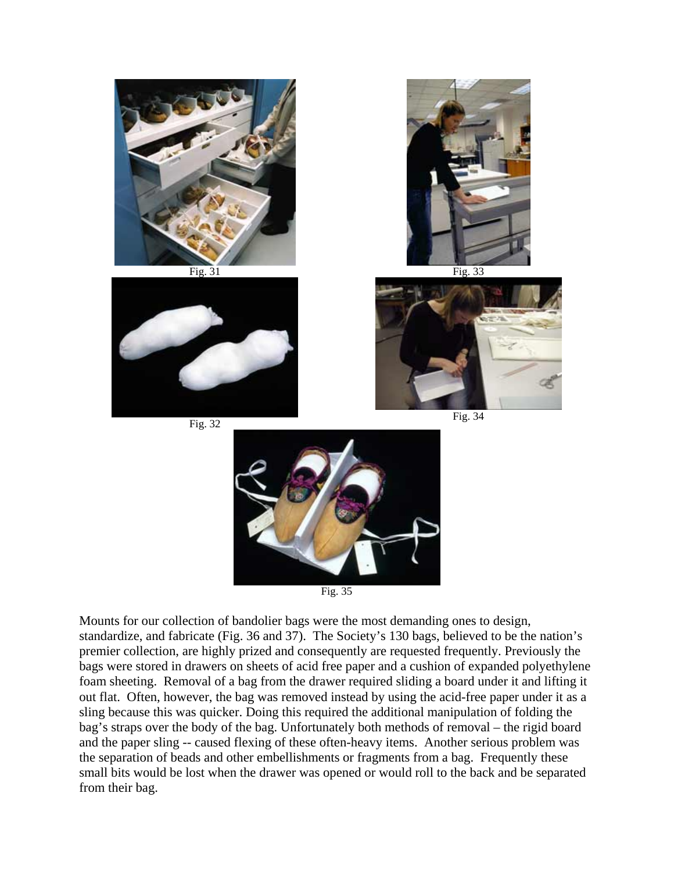



Mounts for our collection of bandolier bags were the most demanding ones to design, standardize, and fabricate (Fig. 36 and 37). The Society's 130 bags, believed to be the nation's premier collection, are highly prized and consequently are requested frequently. Previously the bags were stored in drawers on sheets of acid free paper and a cushion of expanded polyethylene foam sheeting. Removal of a bag from the drawer required sliding a board under it and lifting it out flat. Often, however, the bag was removed instead by using the acid-free paper under it as a sling because this was quicker. Doing this required the additional manipulation of folding the bag's straps over the body of the bag. Unfortunately both methods of removal – the rigid board and the paper sling -- caused flexing of these often-heavy items. Another serious problem was the separation of beads and other embellishments or fragments from a bag. Frequently these small bits would be lost when the drawer was opened or would roll to the back and be separated from their bag.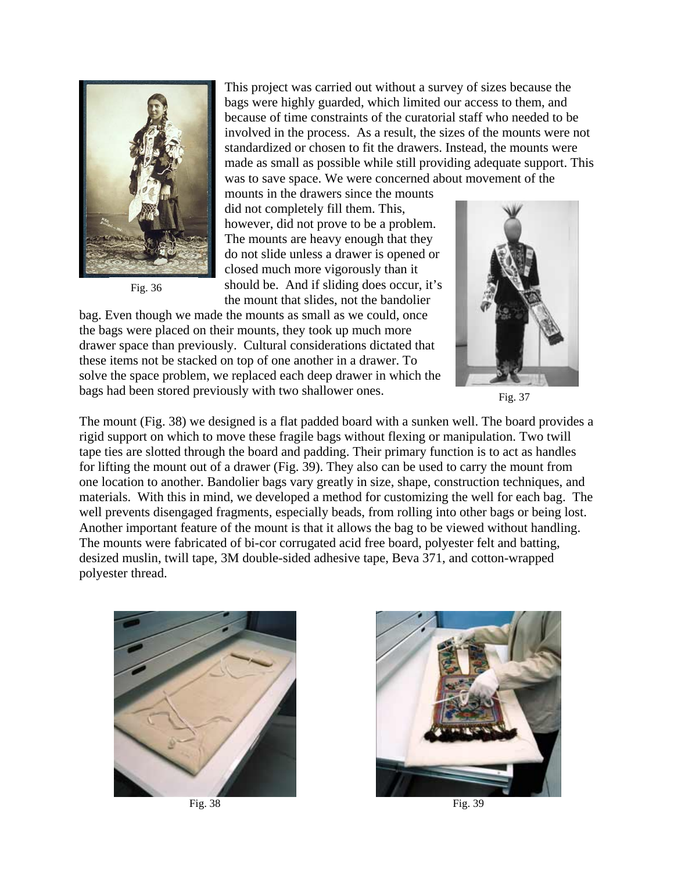

Fig. 36

This project was carried out without a survey of sizes because the bags were highly guarded, which limited our access to them, and because of time constraints of the curatorial staff who needed to be involved in the process. As a result, the sizes of the mounts were not standardized or chosen to fit the drawers. Instead, the mounts were made as small as possible while still providing adequate support. This was to save space. We were concerned about movement of the

mounts in the drawers since the mounts did not completely fill them. This, however, did not prove to be a problem. The mounts are heavy enough that they do not slide unless a drawer is opened or closed much more vigorously than it should be. And if sliding does occur, it's the mount that slides, not the bandolier

bag. Even though we made the mounts as small as we could, once the bags were placed on their mounts, they took up much more drawer space than previously. Cultural considerations dictated that these items not be stacked on top of one another in a drawer. To solve the space problem, we replaced each deep drawer in which the bags had been stored previously with two shallower ones.



Fig. 37

The mount (Fig. 38) we designed is a flat padded board with a sunken well. The board provides a rigid support on which to move these fragile bags without flexing or manipulation. Two twill tape ties are slotted through the board and padding. Their primary function is to act as handles for lifting the mount out of a drawer (Fig. 39). They also can be used to carry the mount from one location to another. Bandolier bags vary greatly in size, shape, construction techniques, and materials. With this in mind, we developed a method for customizing the well for each bag. The well prevents disengaged fragments, especially beads, from rolling into other bags or being lost. Another important feature of the mount is that it allows the bag to be viewed without handling. The mounts were fabricated of bi-cor corrugated acid free board, polyester felt and batting, desized muslin, twill tape, 3M double-sided adhesive tape, Beva 371, and cotton-wrapped polyester thread.



Fig. 38 **Fig. 39**